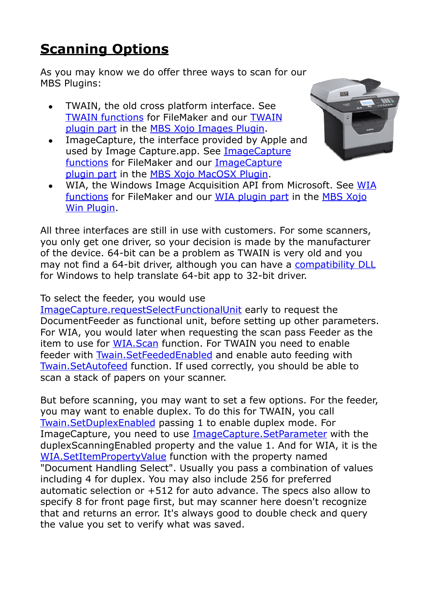## **[Scanning Options](https://www.mbs-plugins.com/archive/2018-02-28/Scanning_Options/monkeybreadsoftware_blog_filemaker)**

As you may know we do offer three ways to scan for our MBS Plugins:

- TWAIN, the old cross platform interface. See [TWAIN functions](http://www.mbsplugins.eu/component_Twain.shtml) for FileMaker and our [TWAIN](http://www.monkeybreadsoftware.net/pluginpart-twain.shtml)  [plugin part](http://www.monkeybreadsoftware.net/pluginpart-twain.shtml) in the [MBS Xojo Images Plugin](http://www.monkeybreadsoftware.net/plugins-mbspictureplugin.shtml).
- ImageCapture, the interface provided by Apple and used by Image Capture.app. See [ImageCapture](http://www.mbsplugins.eu/component_ImageCapture.shtml)  [functions](http://www.mbsplugins.eu/component_ImageCapture.shtml) for FileMaker and our [ImageCapture](http://www.monkeybreadsoftware.net/pluginpart-imagecapture.shtml)  [plugin part](http://www.monkeybreadsoftware.net/pluginpart-imagecapture.shtml) in the [MBS Xojo MacOSX Plugin](http://www.monkeybreadsoftware.net/plugins-mbsmacosxplugin.shtml).



• WIA, the Windows Image Acquisition API from Microsoft. See [WIA](http://www.mbsplugins.eu/component_WIA.shtml)  [functions](http://www.mbsplugins.eu/component_WIA.shtml) for FileMaker and our [WIA plugin part](http://www.monkeybreadsoftware.net/pluginpart-wia.shtml) in the [MBS Xojo](http://www.monkeybreadsoftware.net/plugins-mbswinplugin.shtml)  [Win Plugin](http://www.monkeybreadsoftware.net/plugins-mbswinplugin.shtml).

All three interfaces are still in use with customers. For some scanners, you only get one driver, so your decision is made by the manufacturer of the device. 64-bit can be a problem as TWAIN is very old and you may not find a 64-bit driver, although you can have a [compatibility DLL](https://github.com/twain/twain-dsm) for Windows to help translate 64-bit app to 32-bit driver.

## To select the feeder, you would use

[ImageCapture.requestSelectFunctionalUnit](http://www.mbsplugins.eu/ImageCapturerequestSelectFunctionalUnit.shtml) early to request the DocumentFeeder as functional unit, before setting up other parameters. For WIA, you would later when requesting the scan pass Feeder as the item to use for [WIA.Scan](http://www.mbsplugins.eu/WIAScan.shtml) function. For TWAIN you need to enable feeder with [Twain.SetFeededEnabled](http://www.mbsplugins.eu/TwainSetFeededEnabled.shtml) and enable auto feeding with [Twain.SetAutofeed](http://www.mbsplugins.eu/TwainSetAutofeed.shtml) function. If used correctly, you should be able to scan a stack of papers on your scanner.

But before scanning, you may want to set a few options. For the feeder, you may want to enable duplex. To do this for TWAIN, you call [Twain.SetDuplexEnabled](http://www.mbsplugins.eu/TwainSetDuplexEnabled.shtml) passing 1 to enable duplex mode. For ImageCapture, you need to use [ImageCapture.SetParameter](http://www.mbsplugins.eu/ImageCaptureSetParameter.shtml) with the duplexScanningEnabled property and the value 1. And for WIA, it is the [WIA.SetItemPropertyValue](http://www.mbsplugins.eu/WIASetItemPropertyValue.shtml) function with the property named "Document Handling Select". Usually you pass a combination of values including 4 for duplex. You may also include 256 for preferred automatic selection or +512 for auto advance. The specs also allow to specify 8 for front page first, but may scanner here doesn't recognize that and returns an error. It's always good to double check and query the value you set to verify what was saved.